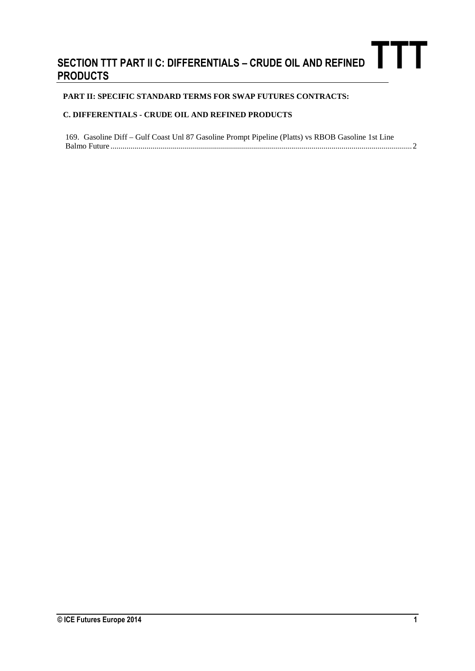## **SECTION TTT PART II C: DIFFERENTIALS – CRUDE OIL AND REFINED PRODUCTS**<br>
PRODUCTS

## **PART II: SPECIFIC STANDARD TERMS FOR SWAP FUTURES CONTRACTS:**

## **C. DIFFERENTIALS - CRUDE OIL AND REFINED PRODUCTS**

| 169. Gasoline Diff - Gulf Coast Unl 87 Gasoline Prompt Pipeline (Platts) vs RBOB Gasoline 1st Line |  |
|----------------------------------------------------------------------------------------------------|--|
|                                                                                                    |  |